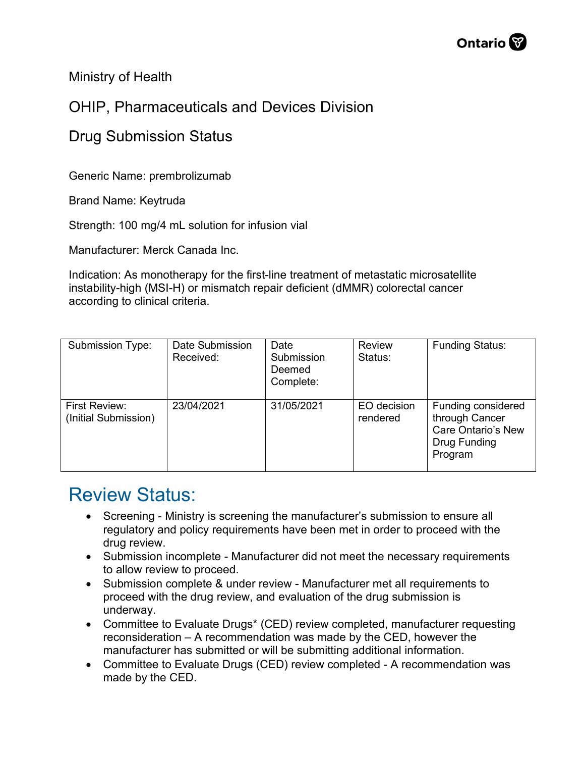Ministry of Health

## OHIP, Pharmaceuticals and Devices Division

## Drug Submission Status

Generic Name: prembrolizumab

Brand Name: Keytruda

Strength: 100 mg/4 mL solution for infusion vial

Manufacturer: Merck Canada Inc.

Indication: As monotherapy for the first-line treatment of metastatic microsatellite instability-high (MSI-H) or mismatch repair deficient (dMMR) colorectal cancer according to clinical criteria.

| <b>Submission Type:</b>               | Date Submission<br>Received: | Date<br>Submission<br>Deemed<br>Complete: | <b>Review</b><br>Status: | <b>Funding Status:</b>                                                                |
|---------------------------------------|------------------------------|-------------------------------------------|--------------------------|---------------------------------------------------------------------------------------|
| First Review:<br>(Initial Submission) | 23/04/2021                   | 31/05/2021                                | EO decision<br>rendered  | Funding considered<br>through Cancer<br>Care Ontario's New<br>Drug Funding<br>Program |

## Review Status:

- Screening Ministry is screening the manufacturer's submission to ensure all regulatory and policy requirements have been met in order to proceed with the drug review.
- Submission incomplete Manufacturer did not meet the necessary requirements to allow review to proceed.
- Submission complete & under review Manufacturer met all requirements to proceed with the drug review, and evaluation of the drug submission is underway.
- Committee to Evaluate Drugs\* (CED) review completed, manufacturer requesting reconsideration – A recommendation was made by the CED, however the manufacturer has submitted or will be submitting additional information.
- Committee to Evaluate Drugs (CED) review completed A recommendation was made by the CED.